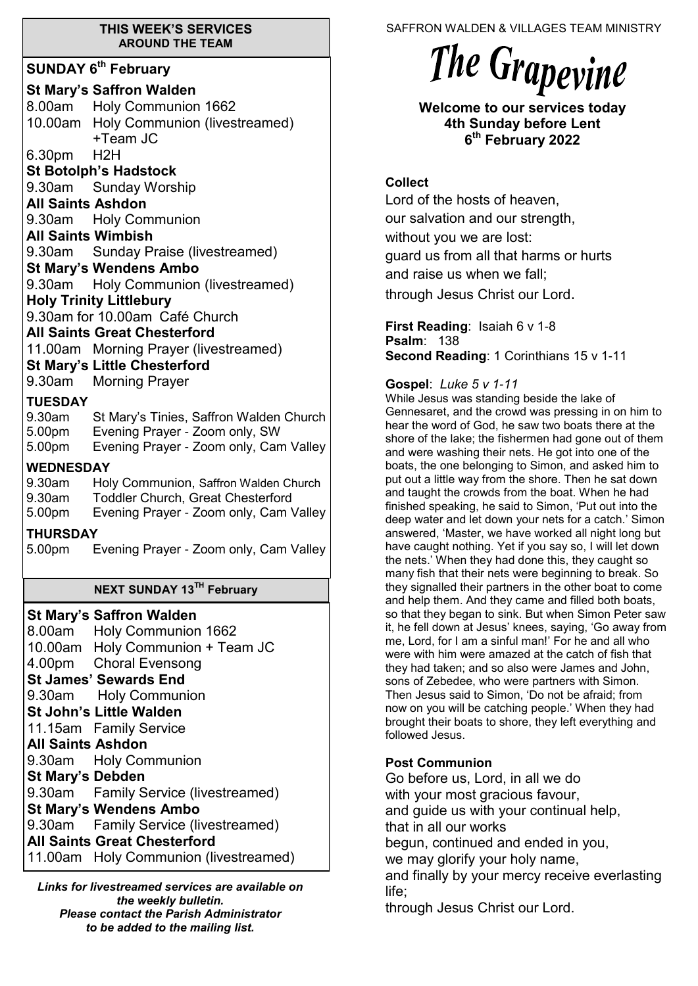#### **THIS WEEK'S SERVICES AROUND THE TEAM**

## **SUNDAY 6th February**

|                  |                                | <b>St Mary's Saffron Walden</b><br>8.00am Holy Communion 1662<br>10.00am Holy Communion (livestreamed) |  |
|------------------|--------------------------------|--------------------------------------------------------------------------------------------------------|--|
|                  | 6.30pm H2H                     | +Team JC                                                                                               |  |
|                  |                                | <b>St Botolph's Hadstock</b>                                                                           |  |
|                  |                                | 9.30am Sunday Worship                                                                                  |  |
|                  | <b>All Saints Ashdon</b>       |                                                                                                        |  |
|                  |                                | 9.30am Holy Communion                                                                                  |  |
|                  | <b>All Saints Wimbish</b>      |                                                                                                        |  |
|                  |                                | 9.30am Sunday Praise (livestreamed)                                                                    |  |
|                  |                                | <b>St Mary's Wendens Ambo</b>                                                                          |  |
|                  |                                | 9.30am Holy Communion (livestreamed)                                                                   |  |
|                  | <b>Holy Trinity Littlebury</b> |                                                                                                        |  |
|                  |                                | 9.30am for 10.00am Café Church<br><b>All Saints Great Chesterford</b>                                  |  |
|                  |                                |                                                                                                        |  |
|                  |                                | 11.00am Morning Prayer (livestreamed)<br><b>St Mary's Little Chesterford</b>                           |  |
|                  | 9.30am                         | <b>Morning Prayer</b>                                                                                  |  |
|                  |                                |                                                                                                        |  |
|                  | <b>TUESDAY</b><br>9.30am       | St Mary's Tinies, Saffron Walden Church                                                                |  |
|                  |                                | 5.00pm Evening Prayer - Zoom only, SW                                                                  |  |
|                  | 5.00pm                         | Evening Prayer - Zoom only, Cam Valley                                                                 |  |
| <b>WEDNESDAY</b> |                                |                                                                                                        |  |
|                  |                                | 9.30am Holy Communion, Saffron Walden Church                                                           |  |
|                  |                                | 9.30am Toddler Church, Great Chesterford                                                               |  |
|                  | 5.00pm                         | Evening Prayer - Zoom only, Cam Valley                                                                 |  |
| <b>THURSDAY</b>  |                                |                                                                                                        |  |
|                  | 5.00pm                         | Evening Prayer - Zoom only, Cam Valley                                                                 |  |
|                  |                                |                                                                                                        |  |
|                  |                                | <b>NEXT SUNDAY 13TH February</b>                                                                       |  |
|                  |                                | <b>St Mary's Saffron Walden</b>                                                                        |  |
|                  |                                | 8.00am Holy Communion 1662                                                                             |  |
|                  |                                | 10.00am Holy Communion + Team JC                                                                       |  |
|                  |                                | 4.00pm Choral Evensong                                                                                 |  |
|                  |                                | <b>St James' Sewards End</b>                                                                           |  |
|                  |                                | 9.30am Holy Communion                                                                                  |  |
|                  |                                | <b>St John's Little Walden</b>                                                                         |  |
|                  |                                | 11.15am Family Service                                                                                 |  |
|                  | <b>All Saints Ashdon</b>       |                                                                                                        |  |
|                  |                                | 9.30am Holy Communion                                                                                  |  |

**St Mary's Debden**

9.30am Family Service (livestreamed) **St Mary's Wendens Ambo**

9.30am Family Service (livestreamed) **All Saints Great Chesterford**

11.00am Holy Communion (livestreamed)

*Links for livestreamed services are available on the weekly bulletin. Please contact the Parish Administrator to be added to the mailing list.*

SAFFRON WALDEN & VILLAGES TEAM MINISTRY

# The Grapevine

**Welcome to our services today 4th Sunday before Lent 6 th February 2022**

## **Collect**

Lord of the hosts of heaven, our salvation and our strength, without you we are lost: guard us from all that harms or hurts and raise us when we fall; through Jesus Christ our Lord.

**First Reading**: Isaiah 6 v 1-8 **Psalm**: 138 **Second Reading**: 1 Corinthians 15 v 1-11

#### **Gospel**: *Luke 5 v 1-11*

While Jesus was standing beside the lake of Gennesaret, and the crowd was pressing in on him to hear the word of God, he saw two boats there at the shore of the lake; the fishermen had gone out of them and were washing their nets. He got into one of the boats, the one belonging to Simon, and asked him to put out a little way from the shore. Then he sat down and taught the crowds from the boat. When he had finished speaking, he said to Simon, 'Put out into the deep water and let down your nets for a catch.' Simon answered, 'Master, we have worked all night long but have caught nothing. Yet if you say so, I will let down the nets.' When they had done this, they caught so many fish that their nets were beginning to break. So they signalled their partners in the other boat to come and help them. And they came and filled both boats, so that they began to sink. But when Simon Peter saw it, he fell down at Jesus' knees, saying, 'Go away from me, Lord, for I am a sinful man!' For he and all who were with him were amazed at the catch of fish that they had taken; and so also were James and John, sons of Zebedee, who were partners with Simon. Then Jesus said to Simon, 'Do not be afraid; from now on you will be catching people.' When they had brought their boats to shore, they left everything and followed Jesus.

## **Post Communion**

Go before us, Lord, in all we do with your most gracious favour, and guide us with your continual help, that in all our works begun, continued and ended in you, we may glorify your holy name, and finally by your mercy receive everlasting life;

through Jesus Christ our Lord.